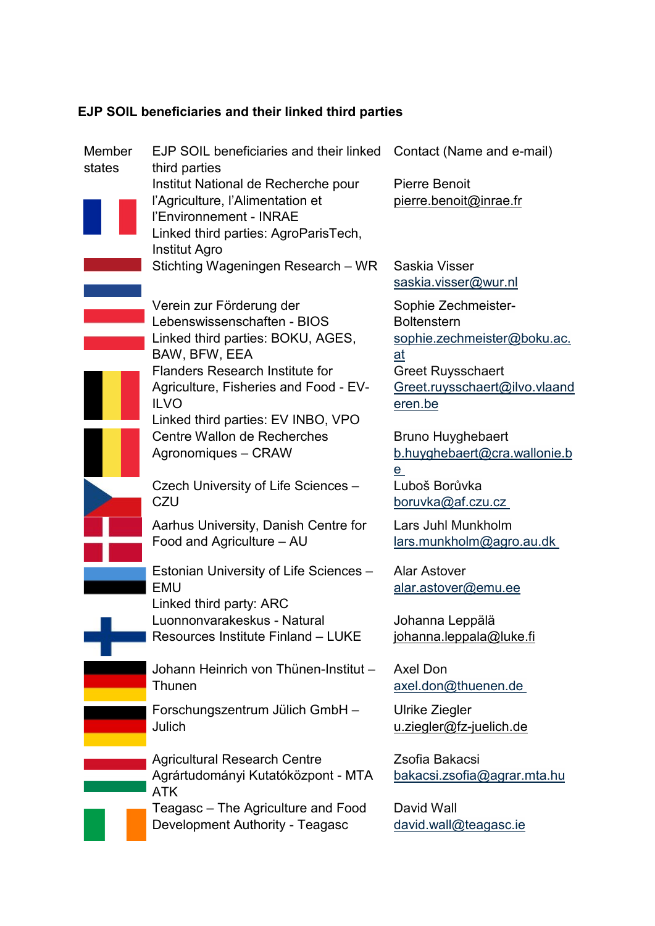## **EJP SOIL beneficiaries and their linked third parties**

| Member<br>states | EJP SOIL beneficiaries and their linked<br>third parties                                                                                                                                                        | Contact (Name and e-mail)                                                                                                                              |
|------------------|-----------------------------------------------------------------------------------------------------------------------------------------------------------------------------------------------------------------|--------------------------------------------------------------------------------------------------------------------------------------------------------|
|                  | Institut National de Recherche pour<br>l'Agriculture, l'Alimentation et<br>l'Environnement - INRAE<br>Linked third parties: AgroParisTech,                                                                      | <b>Pierre Benoit</b><br>pierre.benoit@inrae.fr                                                                                                         |
|                  | <b>Institut Agro</b><br>Stichting Wageningen Research - WR                                                                                                                                                      | Saskia Visser<br>saskia.visser@wur.nl                                                                                                                  |
|                  | Verein zur Förderung der<br>Lebenswissenschaften - BIOS<br>Linked third parties: BOKU, AGES,<br>BAW, BFW, EEA<br><b>Flanders Research Institute for</b><br>Agriculture, Fisheries and Food - EV-<br><b>ILVO</b> | Sophie Zechmeister-<br><b>Boltenstern</b><br>sophie.zechmeister@boku.ac.<br>at<br><b>Greet Ruysschaert</b><br>Greet.ruysschaert@ilvo.vlaand<br>eren.be |
|                  | Linked third parties: EV INBO, VPO<br>Centre Wallon de Recherches<br>Agronomiques - CRAW                                                                                                                        | <b>Bruno Huyghebaert</b><br>b.huyghebaert@cra.wallonie.b<br>e                                                                                          |
|                  | Czech University of Life Sciences -<br>CZU                                                                                                                                                                      | Luboš Borůvka<br>boruvka@af.czu.cz                                                                                                                     |
|                  | Aarhus University, Danish Centre for<br>Food and Agriculture - AU                                                                                                                                               | Lars Juhl Munkholm<br>lars.munkholm@agro.au.dk                                                                                                         |
|                  | Estonian University of Life Sciences -<br><b>EMU</b><br>Linked third party: ARC                                                                                                                                 | <b>Alar Astover</b><br>alar.astover@emu.ee                                                                                                             |
|                  | Luonnonvarakeskus - Natural<br>Resources Institute Finland - LUKE                                                                                                                                               | Johanna Leppälä<br>johanna.leppala@luke.fi                                                                                                             |
|                  | Johann Heinrich von Thünen-Institut -<br>Thunen                                                                                                                                                                 | <b>Axel Don</b><br>axel.don@thuenen.de                                                                                                                 |
|                  | Forschungszentrum Jülich GmbH -<br>Julich                                                                                                                                                                       | Ulrike Ziegler<br>u.ziegler@fz-juelich.de                                                                                                              |
|                  | <b>Agricultural Research Centre</b><br>Agrártudományi Kutatóközpont - MTA<br><b>ATK</b>                                                                                                                         | Zsofia Bakacsi<br><u>bakacsi.zsofia@agrar.mta.hu</u>                                                                                                   |
|                  | Teagasc – The Agriculture and Food<br>Development Authority - Teagasc                                                                                                                                           | David Wall<br>david.wall@teagasc.ie                                                                                                                    |